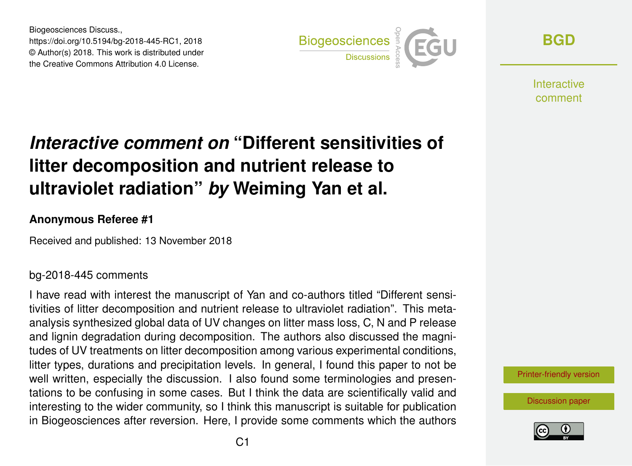Biogeosciences Discuss., https://doi.org/10.5194/bg-2018-445-RC1, 2018 © Author(s) 2018. This work is distributed under the Creative Commons Attribution 4.0 License.



**[BGD](https://www.biogeosciences-discuss.net/)**

**Interactive** comment

# *Interactive comment on* **"Different sensitivities of litter decomposition and nutrient release to ultraviolet radiation"** *by* **Weiming Yan et al.**

### **Anonymous Referee #1**

Received and published: 13 November 2018

### bg-2018-445 comments

I have read with interest the manuscript of Yan and co-authors titled "Different sensitivities of litter decomposition and nutrient release to ultraviolet radiation". This metaanalysis synthesized global data of UV changes on litter mass loss, C, N and P release and lignin degradation during decomposition. The authors also discussed the magnitudes of UV treatments on litter decomposition among various experimental conditions, litter types, durations and precipitation levels. In general, I found this paper to not be well written, especially the discussion. I also found some terminologies and presentations to be confusing in some cases. But I think the data are scientifically valid and interesting to the wider community, so I think this manuscript is suitable for publication in Biogeosciences after reversion. Here, I provide some comments which the authors



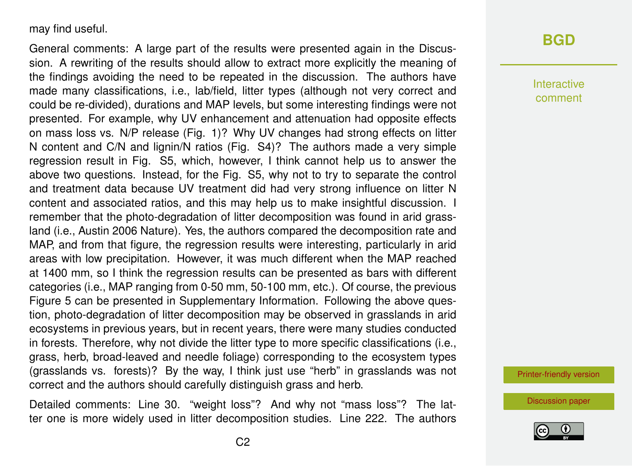#### may find useful.

General comments: A large part of the results were presented again in the Discussion. A rewriting of the results should allow to extract more explicitly the meaning of the findings avoiding the need to be repeated in the discussion. The authors have made many classifications, i.e., lab/field, litter types (although not very correct and could be re-divided), durations and MAP levels, but some interesting findings were not presented. For example, why UV enhancement and attenuation had opposite effects on mass loss vs. N/P release (Fig. 1)? Why UV changes had strong effects on litter N content and C/N and lignin/N ratios (Fig. S4)? The authors made a very simple regression result in Fig. S5, which, however, I think cannot help us to answer the above two questions. Instead, for the Fig. S5, why not to try to separate the control and treatment data because UV treatment did had very strong influence on litter N content and associated ratios, and this may help us to make insightful discussion. I remember that the photo-degradation of litter decomposition was found in arid grassland (i.e., Austin 2006 Nature). Yes, the authors compared the decomposition rate and MAP, and from that figure, the regression results were interesting, particularly in arid areas with low precipitation. However, it was much different when the MAP reached at 1400 mm, so I think the regression results can be presented as bars with different categories (i.e., MAP ranging from 0-50 mm, 50-100 mm, etc.). Of course, the previous Figure 5 can be presented in Supplementary Information. Following the above question, photo-degradation of litter decomposition may be observed in grasslands in arid ecosystems in previous years, but in recent years, there were many studies conducted in forests. Therefore, why not divide the litter type to more specific classifications (i.e., grass, herb, broad-leaved and needle foliage) corresponding to the ecosystem types (grasslands vs. forests)? By the way, I think just use "herb" in grasslands was not correct and the authors should carefully distinguish grass and herb.

Detailed comments: Line 30. "weight loss"? And why not "mass loss"? The latter one is more widely used in litter decomposition studies. Line 222. The authors

# **[BGD](https://www.biogeosciences-discuss.net/)**

Interactive comment

[Printer-friendly version](https://www.biogeosciences-discuss.net/bg-2018-445/bg-2018-445-RC1-print.pdf)

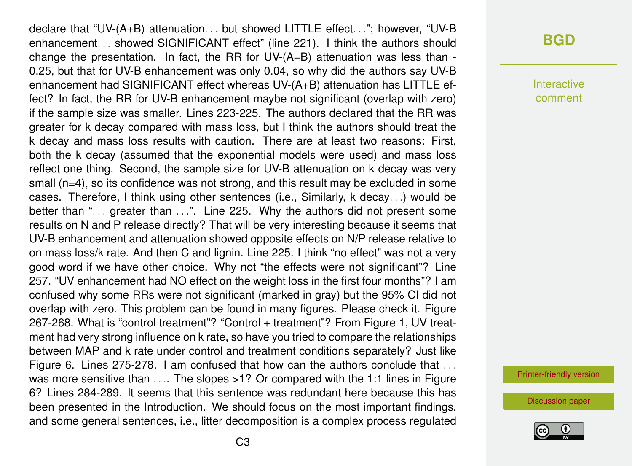declare that "UV-(A+B) attenuation. . . but showed LITTLE effect. . ."; however, "UV-B enhancement. . . showed SIGNIFICANT effect" (line 221). I think the authors should change the presentation. In fact, the RR for UV-(A+B) attenuation was less than - 0.25, but that for UV-B enhancement was only 0.04, so why did the authors say UV-B enhancement had SIGNIFICANT effect whereas UV-(A+B) attenuation has LITTLE effect? In fact, the RR for UV-B enhancement maybe not significant (overlap with zero) if the sample size was smaller. Lines 223-225. The authors declared that the RR was greater for k decay compared with mass loss, but I think the authors should treat the k decay and mass loss results with caution. There are at least two reasons: First, both the k decay (assumed that the exponential models were used) and mass loss reflect one thing. Second, the sample size for UV-B attenuation on k decay was very small (n=4), so its confidence was not strong, and this result may be excluded in some cases. Therefore, I think using other sentences (i.e., Similarly, k decay. . .) would be better than "... greater than ...". Line 225. Why the authors did not present some results on N and P release directly? That will be very interesting because it seems that UV-B enhancement and attenuation showed opposite effects on N/P release relative to on mass loss/k rate. And then C and lignin. Line 225. I think "no effect" was not a very good word if we have other choice. Why not "the effects were not significant"? Line 257. "UV enhancement had NO effect on the weight loss in the first four months"? I am confused why some RRs were not significant (marked in gray) but the 95% CI did not overlap with zero. This problem can be found in many figures. Please check it. Figure 267-268. What is "control treatment"? "Control + treatment"? From Figure 1, UV treatment had very strong influence on k rate, so have you tried to compare the relationships between MAP and k rate under control and treatment conditions separately? Just like Figure 6. Lines 275-278. I am confused that how can the authors conclude that ... was more sensitive than .... The slopes >1? Or compared with the 1:1 lines in Figure 6? Lines 284-289. It seems that this sentence was redundant here because this has been presented in the Introduction. We should focus on the most important findings, and some general sentences, i.e., litter decomposition is a complex process regulated

### **[BGD](https://www.biogeosciences-discuss.net/)**

Interactive comment

[Printer-friendly version](https://www.biogeosciences-discuss.net/bg-2018-445/bg-2018-445-RC1-print.pdf)